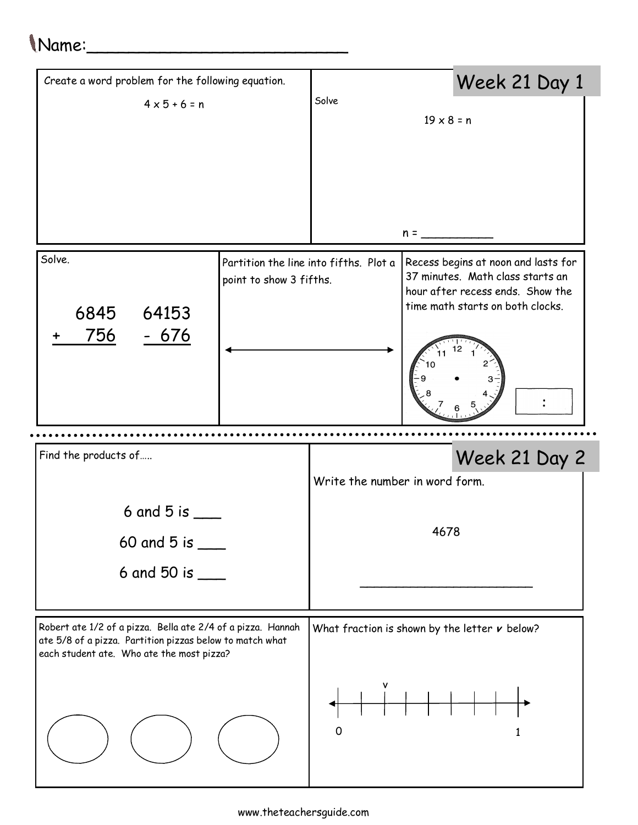## Name:\_\_\_\_\_\_\_\_\_\_\_\_\_\_\_\_\_\_\_\_\_\_\_\_\_

| Create a word problem for the following equation.                                                                                                                    |                                                                   |                                | Week 21 Day 1                                                                                                                                   |                                                   |  |  |
|----------------------------------------------------------------------------------------------------------------------------------------------------------------------|-------------------------------------------------------------------|--------------------------------|-------------------------------------------------------------------------------------------------------------------------------------------------|---------------------------------------------------|--|--|
| $4 \times 5 + 6 = n$                                                                                                                                                 | Solve<br>$19 \times 8 = n$                                        |                                |                                                                                                                                                 |                                                   |  |  |
|                                                                                                                                                                      |                                                                   |                                |                                                                                                                                                 |                                                   |  |  |
|                                                                                                                                                                      |                                                                   |                                |                                                                                                                                                 |                                                   |  |  |
|                                                                                                                                                                      |                                                                   |                                |                                                                                                                                                 |                                                   |  |  |
| Solve.<br>6845<br>64153                                                                                                                                              | Partition the line into fifths. Plot a<br>point to show 3 fifths. |                                | Recess begins at noon and lasts for<br>37 minutes. Math class starts an<br>hour after recess ends. Show the<br>time math starts on both clocks. |                                                   |  |  |
| 756<br>$-676$                                                                                                                                                        |                                                                   |                                |                                                                                                                                                 |                                                   |  |  |
| Find the products of                                                                                                                                                 |                                                                   |                                |                                                                                                                                                 | Week 21 Day 2                                     |  |  |
|                                                                                                                                                                      |                                                                   | Write the number in word form. |                                                                                                                                                 |                                                   |  |  |
|                                                                                                                                                                      |                                                                   |                                |                                                                                                                                                 |                                                   |  |  |
| 6 and 5 is $-$                                                                                                                                                       |                                                                   |                                |                                                                                                                                                 |                                                   |  |  |
| 60 and 5 is $\frac{1}{2}$                                                                                                                                            |                                                                   |                                | 4678                                                                                                                                            |                                                   |  |  |
| 6 and 50 is $\_\_$                                                                                                                                                   |                                                                   |                                |                                                                                                                                                 |                                                   |  |  |
| Robert ate 1/2 of a pizza. Bella ate 2/4 of a pizza. Hannah<br>ate 5/8 of a pizza. Partition pizzas below to match what<br>each student ate. Who ate the most pizza? |                                                                   |                                |                                                                                                                                                 | What fraction is shown by the letter $\nu$ below? |  |  |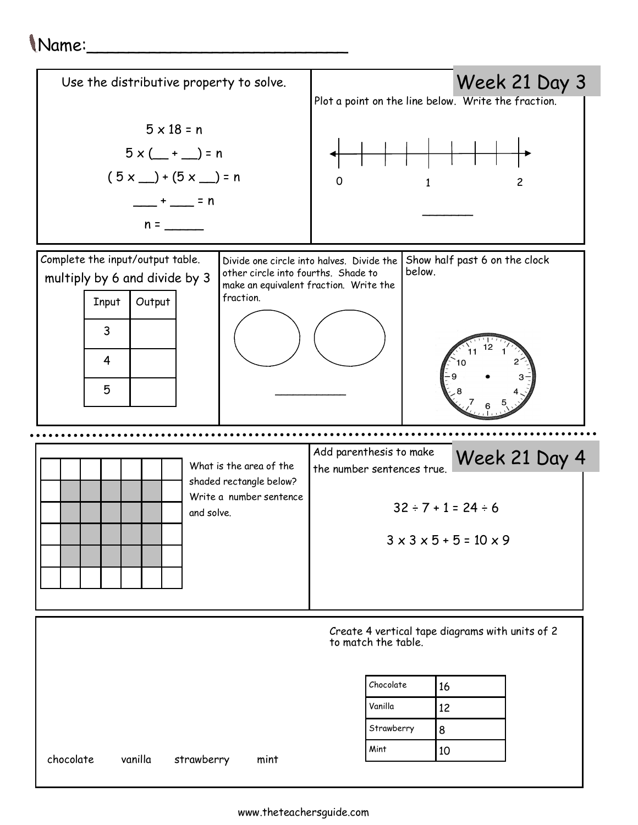## Name:\_\_\_\_\_\_\_\_\_\_\_\_\_\_\_\_\_\_\_\_\_\_\_\_\_